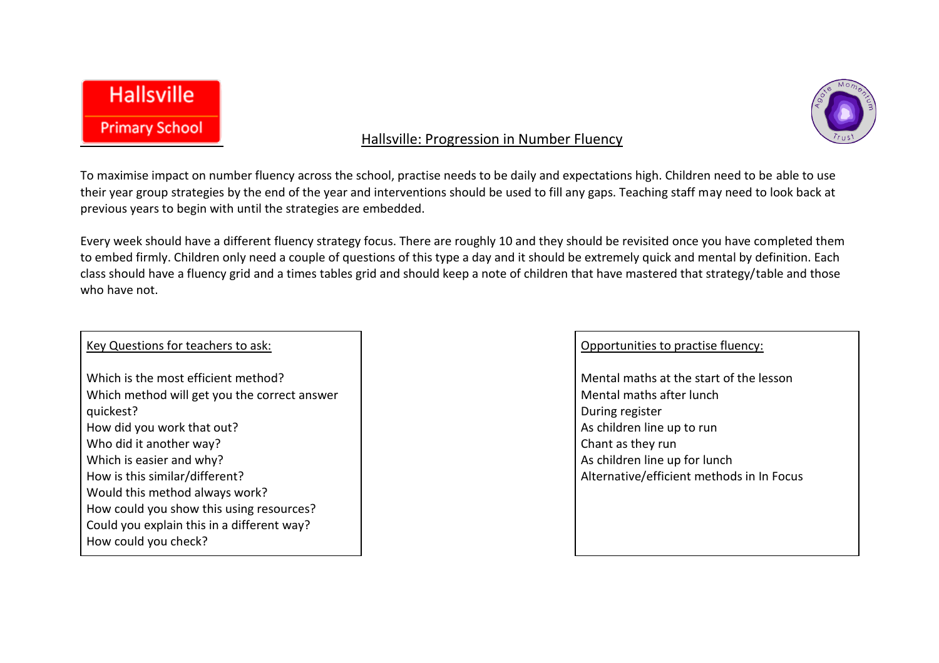



# Hallsville: Progression in Number Fluency

To maximise impact on number fluency across the school, practise needs to be daily and expectations high. Children need to be able to use their year group strategies by the end of the year and interventions should be used to fill any gaps. Teaching staff may need to look back at previous years to begin with until the strategies are embedded.

Every week should have a different fluency strategy focus. There are roughly 10 and they should be revisited once you have completed them to embed firmly. Children only need a couple of questions of this type a day and it should be extremely quick and mental by definition. Each class should have a fluency grid and a times tables grid and should keep a note of children that have mastered that strategy/table and those who have not.

### Key Questions for teachers to ask:

Which is the most efficient method? Which method will get you the correct answer quickest? How did you work that out? Who did it another way? Which is easier and why? How is this similar/different? Would this method always work? How could you show this using resources? Could you explain this in a different way? How could you check?

### Opportunities to practise fluency:

Mental maths at the start of the lesson Mental maths after lunch During register As children line up to run Chant as they run As children line up for lunch Alternative/efficient methods in In Focus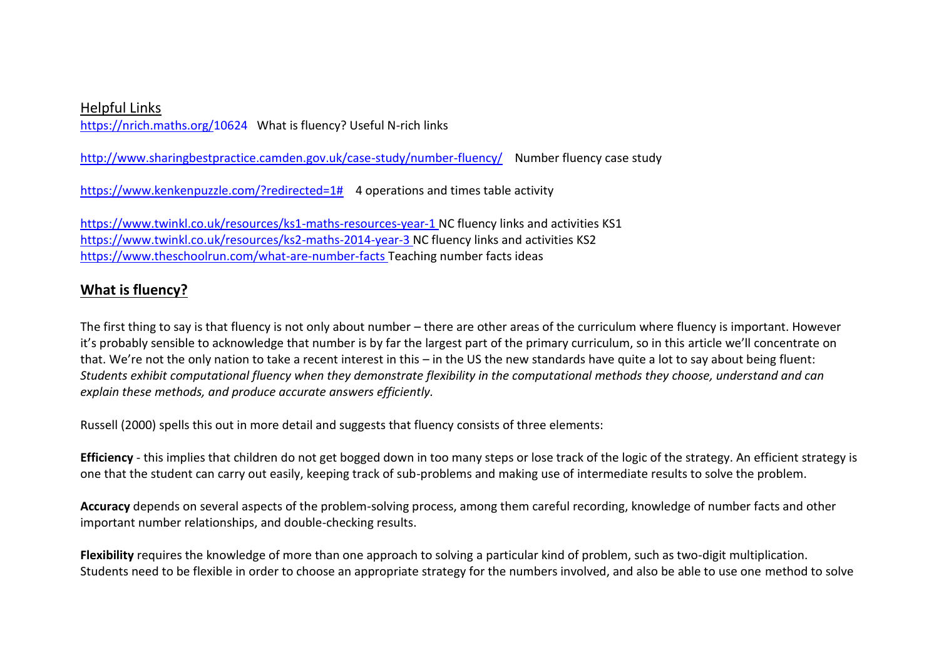## Helpful Links

<https://nrich.maths.org/10624>What is fluency? Useful N-rich links

<http://www.sharingbestpractice.camden.gov.uk/case-study/number-fluency/>Number fluency case study

[https://www.kenkenpuzzle.com/?redirected=1#](https://www.kenkenpuzzle.com/?redirected=1) 4 operations and times table activity

<https://www.twinkl.co.uk/resources/ks1-maths-resources-year-1> NC fluency links and activities KS1 <https://www.twinkl.co.uk/resources/ks2-maths-2014-year-3> NC fluency links and activities KS2 <https://www.theschoolrun.com/what-are-number-facts> Teaching number facts ideas

# **What is fluency?**

The first thing to say is that fluency is not only about number – there are other areas of the curriculum where fluency is important. However it's probably sensible to acknowledge that number is by far the largest part of the primary curriculum, so in this article we'll concentrate on that. We're not the only nation to take a recent interest in this – in the US the new standards have quite a lot to say about being fluent: *Students exhibit computational fluency when they demonstrate flexibility in the computational methods they choose, understand and can explain these methods, and produce accurate answers efficiently.*

Russell (2000) spells this out in more detail and suggests that fluency consists of three elements:

**Efficiency** - this implies that children do not get bogged down in too many steps or lose track of the logic of the strategy. An efficient strategy is one that the student can carry out easily, keeping track of sub-problems and making use of intermediate results to solve the problem.

**Accuracy** depends on several aspects of the problem-solving process, among them careful recording, knowledge of number facts and other important number relationships, and double-checking results.

**Flexibility** requires the knowledge of more than one approach to solving a particular kind of problem, such as two-digit multiplication. Students need to be flexible in order to choose an appropriate strategy for the numbers involved, and also be able to use one method to solve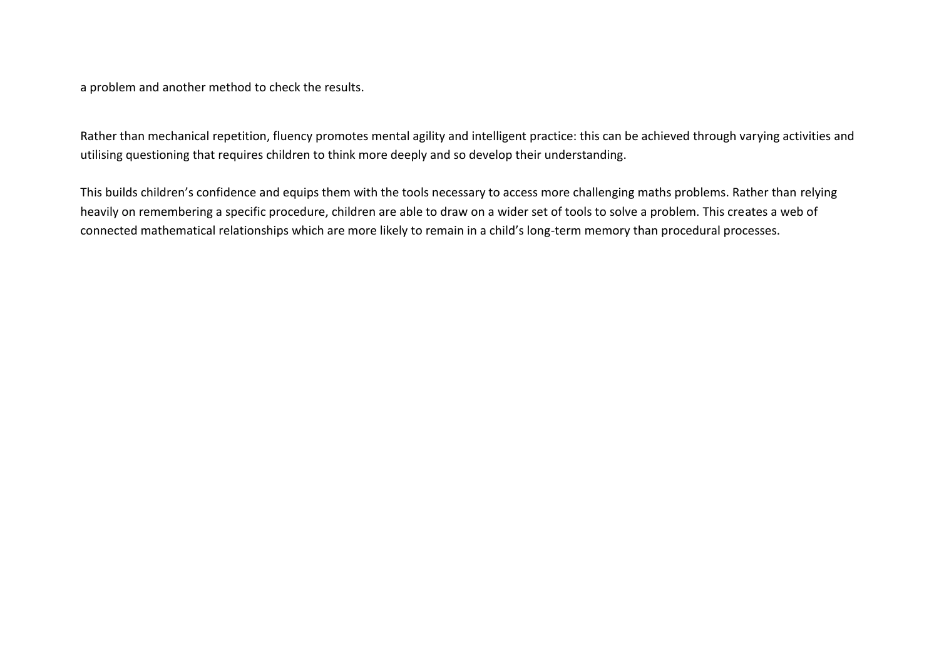a problem and another method to check the results.

Rather than mechanical repetition, fluency promotes mental agility and intelligent practice: this can be achieved through varying activities and utilising questioning that requires children to think more deeply and so develop their understanding.

This builds children's confidence and equips them with the tools necessary to access more challenging maths problems. Rather than relying heavily on remembering a specific procedure, children are able to draw on a wider set of tools to solve a problem. This creates a web of connected mathematical relationships which are more likely to remain in a child's long-term memory than procedural processes.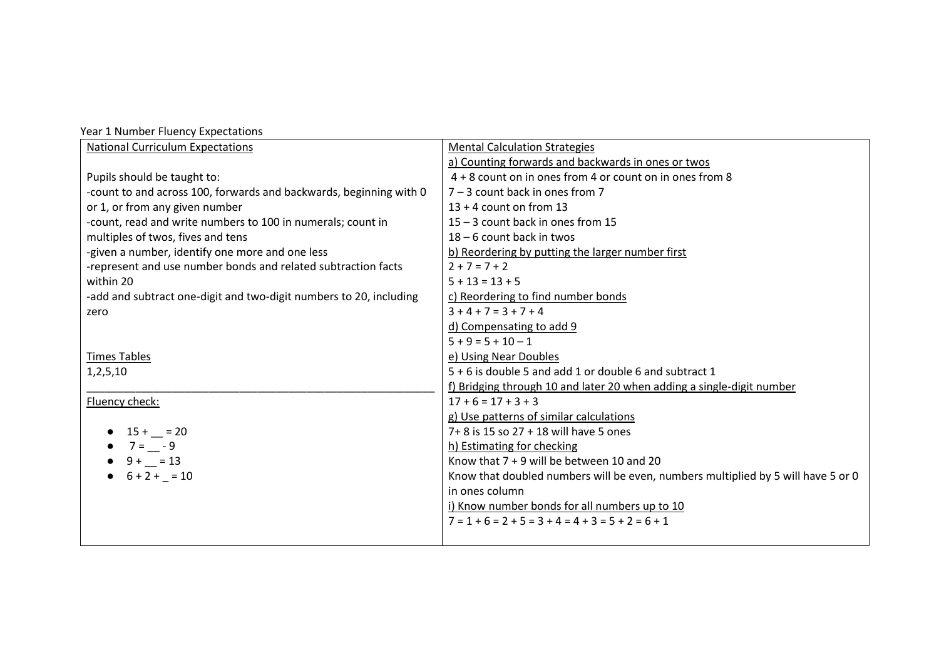| Year 1 Number Fluency Expectations                                 |                                                                                  |
|--------------------------------------------------------------------|----------------------------------------------------------------------------------|
| <b>National Curriculum Expectations</b>                            | <b>Mental Calculation Strategies</b>                                             |
|                                                                    | a) Counting forwards and backwards in ones or twos                               |
| Pupils should be taught to:                                        | 4 + 8 count on in ones from 4 or count on in ones from 8                         |
| -count to and across 100, forwards and backwards, beginning with 0 | $7 - 3$ count back in ones from 7                                                |
| or 1, or from any given number                                     | $13 + 4$ count on from 13                                                        |
| -count, read and write numbers to 100 in numerals; count in        | 15 - 3 count back in ones from 15                                                |
| multiples of twos, fives and tens                                  | $18 - 6$ count back in twos                                                      |
| -given a number, identify one more and one less                    | b) Reordering by putting the larger number first                                 |
| -represent and use number bonds and related subtraction facts      | $2 + 7 = 7 + 2$                                                                  |
| within 20                                                          | $5 + 13 = 13 + 5$                                                                |
| -add and subtract one-digit and two-digit numbers to 20, including | c) Reordering to find number bonds                                               |
| zero                                                               | $3 + 4 + 7 = 3 + 7 + 4$                                                          |
|                                                                    | d) Compensating to add 9                                                         |
|                                                                    | $5 + 9 = 5 + 10 - 1$                                                             |
| <b>Times Tables</b>                                                | e) Using Near Doubles                                                            |
| 1,2,5,10                                                           | 5 + 6 is double 5 and add 1 or double 6 and subtract 1                           |
|                                                                    | f) Bridging through 10 and later 20 when adding a single-digit number            |
| Fluency check:                                                     | $17 + 6 = 17 + 3 + 3$                                                            |
|                                                                    | g) Use patterns of similar calculations                                          |
| $15 + 20$                                                          | 7+ 8 is 15 so 27 + 18 will have 5 ones                                           |
| $7 = -9$                                                           | h) Estimating for checking                                                       |
| $9 + 13$                                                           | Know that 7 + 9 will be between 10 and 20                                        |
| $6 + 2 + \_ = 10$                                                  | Know that doubled numbers will be even, numbers multiplied by 5 will have 5 or 0 |
|                                                                    | in ones column                                                                   |
|                                                                    | i) Know number bonds for all numbers up to 10                                    |
|                                                                    | $7 = 1 + 6 = 2 + 5 = 3 + 4 = 4 + 3 = 5 + 2 = 6 + 1$                              |
|                                                                    |                                                                                  |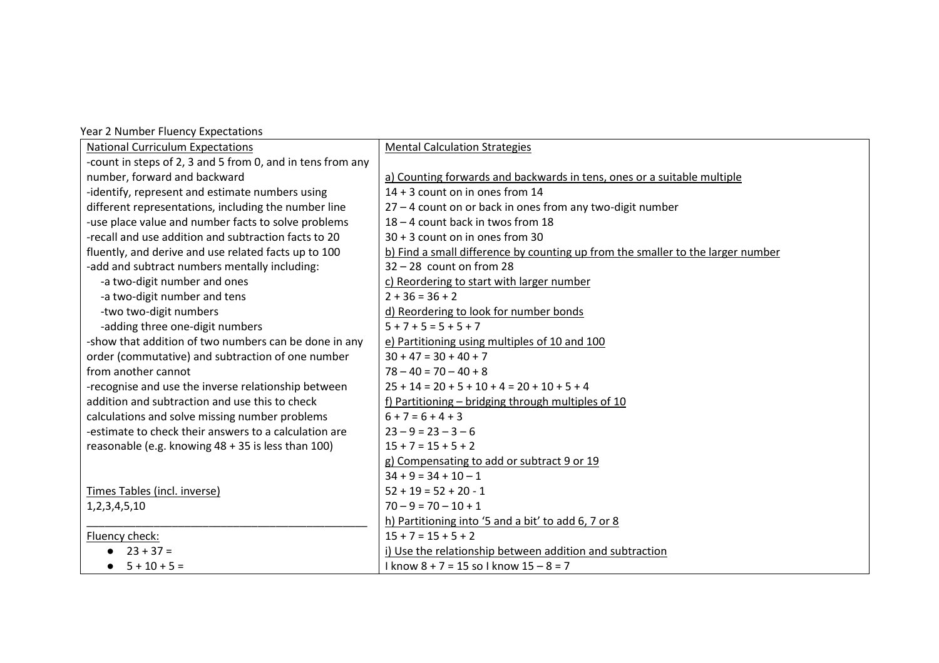| Year 2 Number Fluency Expectations                         |                                                                                 |
|------------------------------------------------------------|---------------------------------------------------------------------------------|
| <b>National Curriculum Expectations</b>                    | <b>Mental Calculation Strategies</b>                                            |
| -count in steps of 2, 3 and 5 from 0, and in tens from any |                                                                                 |
| number, forward and backward                               | a) Counting forwards and backwards in tens, ones or a suitable multiple         |
| -identify, represent and estimate numbers using            | 14 + 3 count on in ones from 14                                                 |
| different representations, including the number line       | 27 – 4 count on or back in ones from any two-digit number                       |
| -use place value and number facts to solve problems        | 18 - 4 count back in twos from 18                                               |
| -recall and use addition and subtraction facts to 20       | $30 + 3$ count on in ones from 30                                               |
| fluently, and derive and use related facts up to 100       | b) Find a small difference by counting up from the smaller to the larger number |
| -add and subtract numbers mentally including:              | $32 - 28$ count on from 28                                                      |
| -a two-digit number and ones                               | c) Reordering to start with larger number                                       |
| -a two-digit number and tens                               | $2 + 36 = 36 + 2$                                                               |
| -two two-digit numbers                                     | d) Reordering to look for number bonds                                          |
| -adding three one-digit numbers                            | $5 + 7 + 5 = 5 + 5 + 7$                                                         |
| -show that addition of two numbers can be done in any      | e) Partitioning using multiples of 10 and 100                                   |
| order (commutative) and subtraction of one number          | $30 + 47 = 30 + 40 + 7$                                                         |
| from another cannot                                        | $78 - 40 = 70 - 40 + 8$                                                         |
| -recognise and use the inverse relationship between        | $25 + 14 = 20 + 5 + 10 + 4 = 20 + 10 + 5 + 4$                                   |
| addition and subtraction and use this to check             | f) Partitioning – bridging through multiples of 10                              |
| calculations and solve missing number problems             | $6 + 7 = 6 + 4 + 3$                                                             |
| -estimate to check their answers to a calculation are      | $23 - 9 = 23 - 3 - 6$                                                           |
| reasonable (e.g. knowing 48 + 35 is less than 100)         | $15 + 7 = 15 + 5 + 2$                                                           |
|                                                            | g) Compensating to add or subtract 9 or 19                                      |
|                                                            | $34 + 9 = 34 + 10 - 1$                                                          |
| Times Tables (incl. inverse)                               | $52 + 19 = 52 + 20 - 1$                                                         |
| 1,2,3,4,5,10                                               | $70 - 9 = 70 - 10 + 1$                                                          |
|                                                            | h) Partitioning into '5 and a bit' to add 6, 7 or 8                             |
| Fluency check:                                             | $15 + 7 = 15 + 5 + 2$                                                           |
| $23 + 37 =$                                                | i) Use the relationship between addition and subtraction                        |
| $5 + 10 + 5 =$<br>$\bullet$                                | $1$ know $8 + 7 = 15$ so $1$ know $15 - 8 = 7$                                  |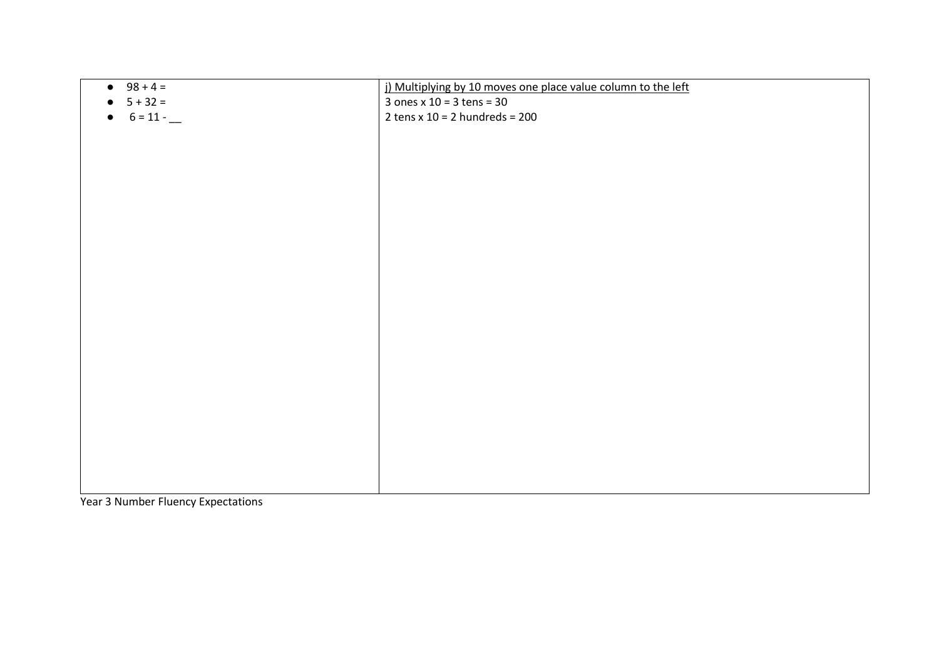| • $98 + 4 =$ | j) Multiplying by 10 moves one place value column to the left |
|--------------|---------------------------------------------------------------|
| $5 + 32 =$   | 3 ones $x 10 = 3$ tens = 30                                   |
| • $6 = 11 -$ | 2 tens $x$ 10 = 2 hundreds = 200                              |
|              |                                                               |
|              |                                                               |
|              |                                                               |
|              |                                                               |
|              |                                                               |
|              |                                                               |
|              |                                                               |
|              |                                                               |
|              |                                                               |
|              |                                                               |
|              |                                                               |
|              |                                                               |
|              |                                                               |
|              |                                                               |
|              |                                                               |
|              |                                                               |
|              |                                                               |
|              |                                                               |
|              |                                                               |
|              |                                                               |
|              |                                                               |
|              |                                                               |
|              |                                                               |
|              |                                                               |

Year 3 Number Fluency Expectations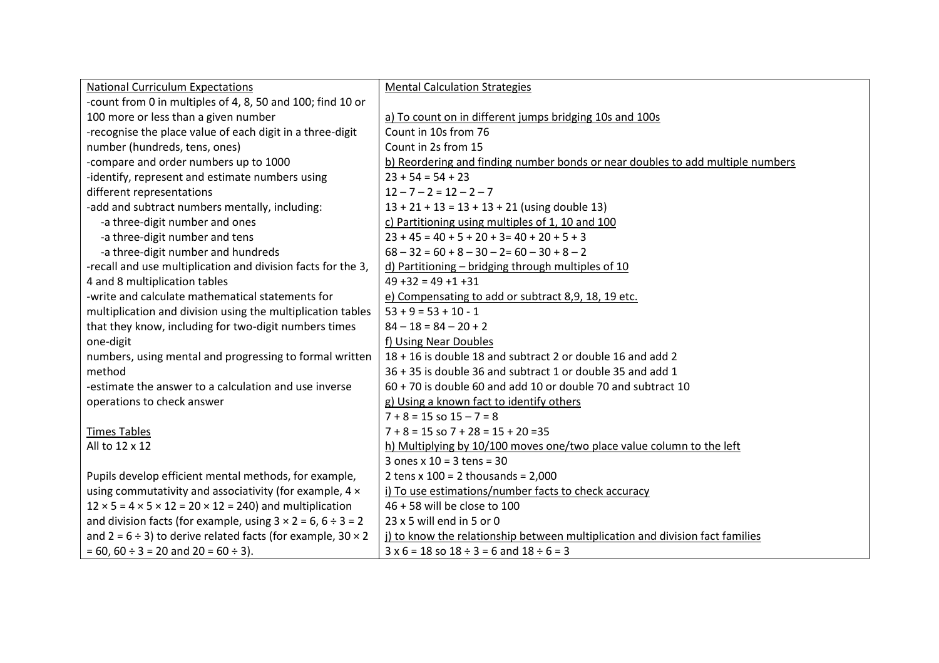| <b>National Curriculum Expectations</b>                                        | <b>Mental Calculation Strategies</b>                                           |
|--------------------------------------------------------------------------------|--------------------------------------------------------------------------------|
| -count from 0 in multiples of 4, 8, 50 and 100; find 10 or                     |                                                                                |
| 100 more or less than a given number                                           | a) To count on in different jumps bridging 10s and 100s                        |
| -recognise the place value of each digit in a three-digit                      | Count in 10s from 76                                                           |
| number (hundreds, tens, ones)                                                  | Count in 2s from 15                                                            |
| -compare and order numbers up to 1000                                          | b) Reordering and finding number bonds or near doubles to add multiple numbers |
| -identify, represent and estimate numbers using                                | $23 + 54 = 54 + 23$                                                            |
| different representations                                                      | $12 - 7 - 2 = 12 - 2 - 7$                                                      |
| -add and subtract numbers mentally, including:                                 | $13 + 21 + 13 = 13 + 13 + 21$ (using double 13)                                |
| -a three-digit number and ones                                                 | c) Partitioning using multiples of 1, 10 and 100                               |
| -a three-digit number and tens                                                 | $23 + 45 = 40 + 5 + 20 + 3 = 40 + 20 + 5 + 3$                                  |
| -a three-digit number and hundreds                                             | $68 - 32 = 60 + 8 - 30 - 2 = 60 - 30 + 8 - 2$                                  |
| -recall and use multiplication and division facts for the 3,                   | d) Partitioning - bridging through multiples of 10                             |
| 4 and 8 multiplication tables                                                  | $49 + 32 = 49 + 1 + 31$                                                        |
| -write and calculate mathematical statements for                               | e) Compensating to add or subtract 8,9, 18, 19 etc.                            |
| multiplication and division using the multiplication tables                    | $53 + 9 = 53 + 10 - 1$                                                         |
| that they know, including for two-digit numbers times                          | $84 - 18 = 84 - 20 + 2$                                                        |
| one-digit                                                                      | f) Using Near Doubles                                                          |
| numbers, using mental and progressing to formal written                        | 18 + 16 is double 18 and subtract 2 or double 16 and add 2                     |
| method                                                                         | 36 + 35 is double 36 and subtract 1 or double 35 and add 1                     |
| -estimate the answer to a calculation and use inverse                          | 60 + 70 is double 60 and add 10 or double 70 and subtract 10                   |
| operations to check answer                                                     | g) Using a known fact to identify others                                       |
|                                                                                | $7 + 8 = 15$ so $15 - 7 = 8$                                                   |
| <b>Times Tables</b>                                                            | $7 + 8 = 15$ so $7 + 28 = 15 + 20 = 35$                                        |
| All to 12 x 12                                                                 | h) Multiplying by 10/100 moves one/two place value column to the left          |
|                                                                                | 3 ones $x 10 = 3$ tens = 30                                                    |
| Pupils develop efficient mental methods, for example,                          | 2 tens $x$ 100 = 2 thousands = 2,000                                           |
| using commutativity and associativity (for example, 4 x                        | i) To use estimations/number facts to check accuracy                           |
| $12 \times 5 = 4 \times 5 \times 12 = 20 \times 12 = 240$ ) and multiplication | 46 + 58 will be close to 100                                                   |
| and division facts (for example, using $3 \times 2 = 6$ , $6 \div 3 = 2$       | 23 x 5 will end in 5 or 0                                                      |
| and $2 = 6 \div 3$ ) to derive related facts (for example, $30 \times 2$       | j) to know the relationship between multiplication and division fact families  |
| $= 60$ , $60 \div 3 = 20$ and $20 = 60 \div 3$ ).                              | $3 \times 6 = 18$ so $18 \div 3 = 6$ and $18 \div 6 = 3$                       |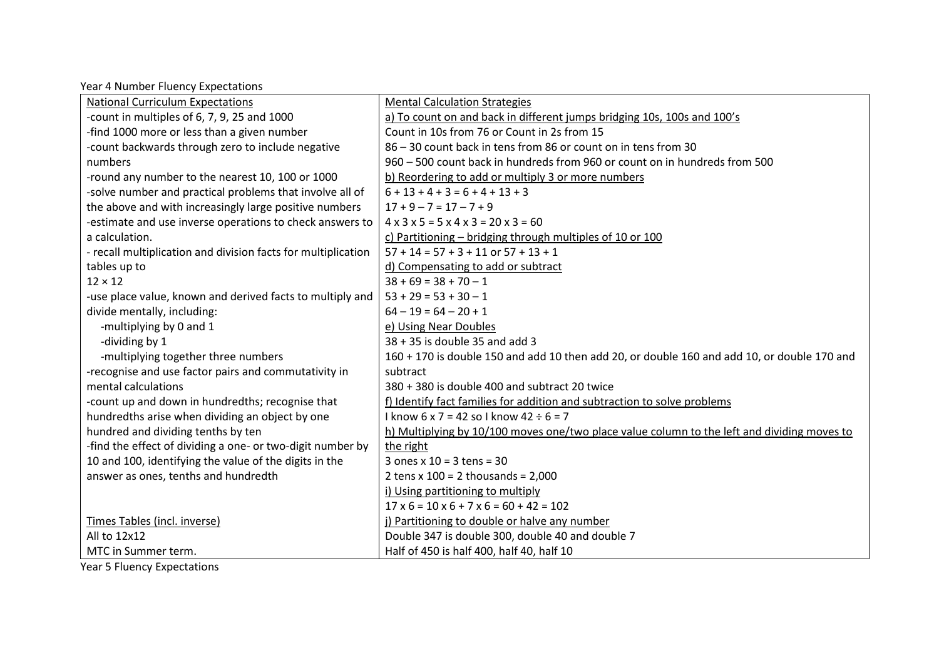Year 4 Number Fluency Expectations

| -count in multiples of 6, 7, 9, 25 and 1000<br>a) To count on and back in different jumps bridging 10s, 100s and 100's<br>-find 1000 more or less than a given number<br>Count in 10s from 76 or Count in 2s from 15<br>86 – 30 count back in tens from 86 or count on in tens from 30<br>-count backwards through zero to include negative<br>960 - 500 count back in hundreds from 960 or count on in hundreds from 500<br>numbers<br>b) Reordering to add or multiply 3 or more numbers<br>-round any number to the nearest 10, 100 or 1000<br>$6 + 13 + 4 + 3 = 6 + 4 + 13 + 3$<br>-solve number and practical problems that involve all of<br>$17 + 9 - 7 = 17 - 7 + 9$<br>the above and with increasingly large positive numbers<br>$4 \times 3 \times 5 = 5 \times 4 \times 3 = 20 \times 3 = 60$<br>-estimate and use inverse operations to check answers to<br>a calculation.<br>c) Partitioning - bridging through multiples of 10 or 100<br>$57 + 14 = 57 + 3 + 11$ or $57 + 13 + 1$<br>- recall multiplication and division facts for multiplication<br>tables up to<br>d) Compensating to add or subtract<br>$12 \times 12$<br>$38 + 69 = 38 + 70 - 1$<br>$53 + 29 = 53 + 30 - 1$<br>-use place value, known and derived facts to multiply and<br>$64 - 19 = 64 - 20 + 1$<br>divide mentally, including:<br>-multiplying by 0 and 1<br>e) Using Near Doubles<br>38 + 35 is double 35 and add 3<br>-dividing by 1<br>160 + 170 is double 150 and add 10 then add 20, or double 160 and add 10, or double 170 and<br>-multiplying together three numbers<br>-recognise and use factor pairs and commutativity in<br>subtract<br>mental calculations<br>380 + 380 is double 400 and subtract 20 twice<br>-count up and down in hundredths; recognise that<br>f) Identify fact families for addition and subtraction to solve problems<br>hundredths arise when dividing an object by one<br>$1$ know 6 x 7 = 42 so I know 42 $\div$ 6 = 7<br>hundred and dividing tenths by ten<br>h) Multiplying by 10/100 moves one/two place value column to the left and dividing moves to<br>-find the effect of dividing a one- or two-digit number by<br>the right<br>10 and 100, identifying the value of the digits in the<br>3 ones $x 10 = 3$ tens = 30<br>answer as ones, tenths and hundredth<br>2 tens x $100 = 2$ thousands = 2,000<br>i) Using partitioning to multiply<br>$17 \times 6 = 10 \times 6 + 7 \times 6 = 60 + 42 = 102$<br>Times Tables (incl. inverse)<br>j) Partitioning to double or halve any number<br>All to 12x12<br>Double 347 is double 300, double 40 and double 7<br>Half of 450 is half 400, half 40, half 10<br>MTC in Summer term. |                                         |                                      |
|------------------------------------------------------------------------------------------------------------------------------------------------------------------------------------------------------------------------------------------------------------------------------------------------------------------------------------------------------------------------------------------------------------------------------------------------------------------------------------------------------------------------------------------------------------------------------------------------------------------------------------------------------------------------------------------------------------------------------------------------------------------------------------------------------------------------------------------------------------------------------------------------------------------------------------------------------------------------------------------------------------------------------------------------------------------------------------------------------------------------------------------------------------------------------------------------------------------------------------------------------------------------------------------------------------------------------------------------------------------------------------------------------------------------------------------------------------------------------------------------------------------------------------------------------------------------------------------------------------------------------------------------------------------------------------------------------------------------------------------------------------------------------------------------------------------------------------------------------------------------------------------------------------------------------------------------------------------------------------------------------------------------------------------------------------------------------------------------------------------------------------------------------------------------------------------------------------------------------------------------------------------------------------------------------------------------------------------------------------------------------------------------------------------------------------------------------------------------------------------------------------------------------------------------------------------------------------------------------------------------------------------------------------------------|-----------------------------------------|--------------------------------------|
|                                                                                                                                                                                                                                                                                                                                                                                                                                                                                                                                                                                                                                                                                                                                                                                                                                                                                                                                                                                                                                                                                                                                                                                                                                                                                                                                                                                                                                                                                                                                                                                                                                                                                                                                                                                                                                                                                                                                                                                                                                                                                                                                                                                                                                                                                                                                                                                                                                                                                                                                                                                                                                                                        | <b>National Curriculum Expectations</b> | <b>Mental Calculation Strategies</b> |
|                                                                                                                                                                                                                                                                                                                                                                                                                                                                                                                                                                                                                                                                                                                                                                                                                                                                                                                                                                                                                                                                                                                                                                                                                                                                                                                                                                                                                                                                                                                                                                                                                                                                                                                                                                                                                                                                                                                                                                                                                                                                                                                                                                                                                                                                                                                                                                                                                                                                                                                                                                                                                                                                        |                                         |                                      |
|                                                                                                                                                                                                                                                                                                                                                                                                                                                                                                                                                                                                                                                                                                                                                                                                                                                                                                                                                                                                                                                                                                                                                                                                                                                                                                                                                                                                                                                                                                                                                                                                                                                                                                                                                                                                                                                                                                                                                                                                                                                                                                                                                                                                                                                                                                                                                                                                                                                                                                                                                                                                                                                                        |                                         |                                      |
|                                                                                                                                                                                                                                                                                                                                                                                                                                                                                                                                                                                                                                                                                                                                                                                                                                                                                                                                                                                                                                                                                                                                                                                                                                                                                                                                                                                                                                                                                                                                                                                                                                                                                                                                                                                                                                                                                                                                                                                                                                                                                                                                                                                                                                                                                                                                                                                                                                                                                                                                                                                                                                                                        |                                         |                                      |
|                                                                                                                                                                                                                                                                                                                                                                                                                                                                                                                                                                                                                                                                                                                                                                                                                                                                                                                                                                                                                                                                                                                                                                                                                                                                                                                                                                                                                                                                                                                                                                                                                                                                                                                                                                                                                                                                                                                                                                                                                                                                                                                                                                                                                                                                                                                                                                                                                                                                                                                                                                                                                                                                        |                                         |                                      |
|                                                                                                                                                                                                                                                                                                                                                                                                                                                                                                                                                                                                                                                                                                                                                                                                                                                                                                                                                                                                                                                                                                                                                                                                                                                                                                                                                                                                                                                                                                                                                                                                                                                                                                                                                                                                                                                                                                                                                                                                                                                                                                                                                                                                                                                                                                                                                                                                                                                                                                                                                                                                                                                                        |                                         |                                      |
|                                                                                                                                                                                                                                                                                                                                                                                                                                                                                                                                                                                                                                                                                                                                                                                                                                                                                                                                                                                                                                                                                                                                                                                                                                                                                                                                                                                                                                                                                                                                                                                                                                                                                                                                                                                                                                                                                                                                                                                                                                                                                                                                                                                                                                                                                                                                                                                                                                                                                                                                                                                                                                                                        |                                         |                                      |
|                                                                                                                                                                                                                                                                                                                                                                                                                                                                                                                                                                                                                                                                                                                                                                                                                                                                                                                                                                                                                                                                                                                                                                                                                                                                                                                                                                                                                                                                                                                                                                                                                                                                                                                                                                                                                                                                                                                                                                                                                                                                                                                                                                                                                                                                                                                                                                                                                                                                                                                                                                                                                                                                        |                                         |                                      |
|                                                                                                                                                                                                                                                                                                                                                                                                                                                                                                                                                                                                                                                                                                                                                                                                                                                                                                                                                                                                                                                                                                                                                                                                                                                                                                                                                                                                                                                                                                                                                                                                                                                                                                                                                                                                                                                                                                                                                                                                                                                                                                                                                                                                                                                                                                                                                                                                                                                                                                                                                                                                                                                                        |                                         |                                      |
|                                                                                                                                                                                                                                                                                                                                                                                                                                                                                                                                                                                                                                                                                                                                                                                                                                                                                                                                                                                                                                                                                                                                                                                                                                                                                                                                                                                                                                                                                                                                                                                                                                                                                                                                                                                                                                                                                                                                                                                                                                                                                                                                                                                                                                                                                                                                                                                                                                                                                                                                                                                                                                                                        |                                         |                                      |
|                                                                                                                                                                                                                                                                                                                                                                                                                                                                                                                                                                                                                                                                                                                                                                                                                                                                                                                                                                                                                                                                                                                                                                                                                                                                                                                                                                                                                                                                                                                                                                                                                                                                                                                                                                                                                                                                                                                                                                                                                                                                                                                                                                                                                                                                                                                                                                                                                                                                                                                                                                                                                                                                        |                                         |                                      |
|                                                                                                                                                                                                                                                                                                                                                                                                                                                                                                                                                                                                                                                                                                                                                                                                                                                                                                                                                                                                                                                                                                                                                                                                                                                                                                                                                                                                                                                                                                                                                                                                                                                                                                                                                                                                                                                                                                                                                                                                                                                                                                                                                                                                                                                                                                                                                                                                                                                                                                                                                                                                                                                                        |                                         |                                      |
|                                                                                                                                                                                                                                                                                                                                                                                                                                                                                                                                                                                                                                                                                                                                                                                                                                                                                                                                                                                                                                                                                                                                                                                                                                                                                                                                                                                                                                                                                                                                                                                                                                                                                                                                                                                                                                                                                                                                                                                                                                                                                                                                                                                                                                                                                                                                                                                                                                                                                                                                                                                                                                                                        |                                         |                                      |
|                                                                                                                                                                                                                                                                                                                                                                                                                                                                                                                                                                                                                                                                                                                                                                                                                                                                                                                                                                                                                                                                                                                                                                                                                                                                                                                                                                                                                                                                                                                                                                                                                                                                                                                                                                                                                                                                                                                                                                                                                                                                                                                                                                                                                                                                                                                                                                                                                                                                                                                                                                                                                                                                        |                                         |                                      |
|                                                                                                                                                                                                                                                                                                                                                                                                                                                                                                                                                                                                                                                                                                                                                                                                                                                                                                                                                                                                                                                                                                                                                                                                                                                                                                                                                                                                                                                                                                                                                                                                                                                                                                                                                                                                                                                                                                                                                                                                                                                                                                                                                                                                                                                                                                                                                                                                                                                                                                                                                                                                                                                                        |                                         |                                      |
|                                                                                                                                                                                                                                                                                                                                                                                                                                                                                                                                                                                                                                                                                                                                                                                                                                                                                                                                                                                                                                                                                                                                                                                                                                                                                                                                                                                                                                                                                                                                                                                                                                                                                                                                                                                                                                                                                                                                                                                                                                                                                                                                                                                                                                                                                                                                                                                                                                                                                                                                                                                                                                                                        |                                         |                                      |
|                                                                                                                                                                                                                                                                                                                                                                                                                                                                                                                                                                                                                                                                                                                                                                                                                                                                                                                                                                                                                                                                                                                                                                                                                                                                                                                                                                                                                                                                                                                                                                                                                                                                                                                                                                                                                                                                                                                                                                                                                                                                                                                                                                                                                                                                                                                                                                                                                                                                                                                                                                                                                                                                        |                                         |                                      |
|                                                                                                                                                                                                                                                                                                                                                                                                                                                                                                                                                                                                                                                                                                                                                                                                                                                                                                                                                                                                                                                                                                                                                                                                                                                                                                                                                                                                                                                                                                                                                                                                                                                                                                                                                                                                                                                                                                                                                                                                                                                                                                                                                                                                                                                                                                                                                                                                                                                                                                                                                                                                                                                                        |                                         |                                      |
|                                                                                                                                                                                                                                                                                                                                                                                                                                                                                                                                                                                                                                                                                                                                                                                                                                                                                                                                                                                                                                                                                                                                                                                                                                                                                                                                                                                                                                                                                                                                                                                                                                                                                                                                                                                                                                                                                                                                                                                                                                                                                                                                                                                                                                                                                                                                                                                                                                                                                                                                                                                                                                                                        |                                         |                                      |
|                                                                                                                                                                                                                                                                                                                                                                                                                                                                                                                                                                                                                                                                                                                                                                                                                                                                                                                                                                                                                                                                                                                                                                                                                                                                                                                                                                                                                                                                                                                                                                                                                                                                                                                                                                                                                                                                                                                                                                                                                                                                                                                                                                                                                                                                                                                                                                                                                                                                                                                                                                                                                                                                        |                                         |                                      |
|                                                                                                                                                                                                                                                                                                                                                                                                                                                                                                                                                                                                                                                                                                                                                                                                                                                                                                                                                                                                                                                                                                                                                                                                                                                                                                                                                                                                                                                                                                                                                                                                                                                                                                                                                                                                                                                                                                                                                                                                                                                                                                                                                                                                                                                                                                                                                                                                                                                                                                                                                                                                                                                                        |                                         |                                      |
|                                                                                                                                                                                                                                                                                                                                                                                                                                                                                                                                                                                                                                                                                                                                                                                                                                                                                                                                                                                                                                                                                                                                                                                                                                                                                                                                                                                                                                                                                                                                                                                                                                                                                                                                                                                                                                                                                                                                                                                                                                                                                                                                                                                                                                                                                                                                                                                                                                                                                                                                                                                                                                                                        |                                         |                                      |
|                                                                                                                                                                                                                                                                                                                                                                                                                                                                                                                                                                                                                                                                                                                                                                                                                                                                                                                                                                                                                                                                                                                                                                                                                                                                                                                                                                                                                                                                                                                                                                                                                                                                                                                                                                                                                                                                                                                                                                                                                                                                                                                                                                                                                                                                                                                                                                                                                                                                                                                                                                                                                                                                        |                                         |                                      |
|                                                                                                                                                                                                                                                                                                                                                                                                                                                                                                                                                                                                                                                                                                                                                                                                                                                                                                                                                                                                                                                                                                                                                                                                                                                                                                                                                                                                                                                                                                                                                                                                                                                                                                                                                                                                                                                                                                                                                                                                                                                                                                                                                                                                                                                                                                                                                                                                                                                                                                                                                                                                                                                                        |                                         |                                      |
|                                                                                                                                                                                                                                                                                                                                                                                                                                                                                                                                                                                                                                                                                                                                                                                                                                                                                                                                                                                                                                                                                                                                                                                                                                                                                                                                                                                                                                                                                                                                                                                                                                                                                                                                                                                                                                                                                                                                                                                                                                                                                                                                                                                                                                                                                                                                                                                                                                                                                                                                                                                                                                                                        |                                         |                                      |
|                                                                                                                                                                                                                                                                                                                                                                                                                                                                                                                                                                                                                                                                                                                                                                                                                                                                                                                                                                                                                                                                                                                                                                                                                                                                                                                                                                                                                                                                                                                                                                                                                                                                                                                                                                                                                                                                                                                                                                                                                                                                                                                                                                                                                                                                                                                                                                                                                                                                                                                                                                                                                                                                        |                                         |                                      |
|                                                                                                                                                                                                                                                                                                                                                                                                                                                                                                                                                                                                                                                                                                                                                                                                                                                                                                                                                                                                                                                                                                                                                                                                                                                                                                                                                                                                                                                                                                                                                                                                                                                                                                                                                                                                                                                                                                                                                                                                                                                                                                                                                                                                                                                                                                                                                                                                                                                                                                                                                                                                                                                                        |                                         |                                      |
|                                                                                                                                                                                                                                                                                                                                                                                                                                                                                                                                                                                                                                                                                                                                                                                                                                                                                                                                                                                                                                                                                                                                                                                                                                                                                                                                                                                                                                                                                                                                                                                                                                                                                                                                                                                                                                                                                                                                                                                                                                                                                                                                                                                                                                                                                                                                                                                                                                                                                                                                                                                                                                                                        |                                         |                                      |
|                                                                                                                                                                                                                                                                                                                                                                                                                                                                                                                                                                                                                                                                                                                                                                                                                                                                                                                                                                                                                                                                                                                                                                                                                                                                                                                                                                                                                                                                                                                                                                                                                                                                                                                                                                                                                                                                                                                                                                                                                                                                                                                                                                                                                                                                                                                                                                                                                                                                                                                                                                                                                                                                        |                                         |                                      |
|                                                                                                                                                                                                                                                                                                                                                                                                                                                                                                                                                                                                                                                                                                                                                                                                                                                                                                                                                                                                                                                                                                                                                                                                                                                                                                                                                                                                                                                                                                                                                                                                                                                                                                                                                                                                                                                                                                                                                                                                                                                                                                                                                                                                                                                                                                                                                                                                                                                                                                                                                                                                                                                                        |                                         |                                      |
|                                                                                                                                                                                                                                                                                                                                                                                                                                                                                                                                                                                                                                                                                                                                                                                                                                                                                                                                                                                                                                                                                                                                                                                                                                                                                                                                                                                                                                                                                                                                                                                                                                                                                                                                                                                                                                                                                                                                                                                                                                                                                                                                                                                                                                                                                                                                                                                                                                                                                                                                                                                                                                                                        |                                         |                                      |

Year 5 Fluency Expectations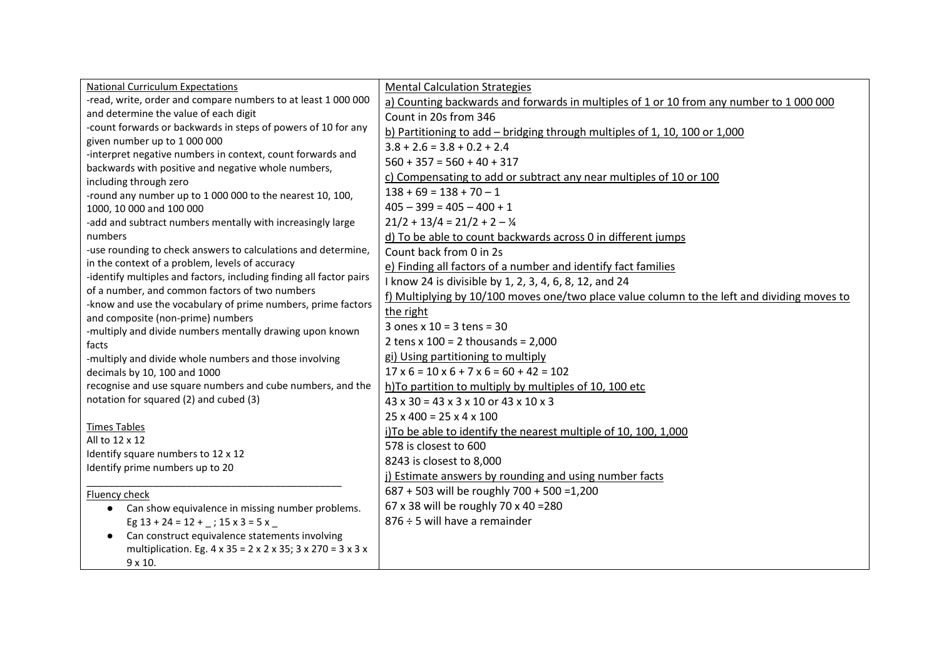| <b>National Curriculum Expectations</b>                                               | <b>Mental Calculation Strategies</b>                                                        |
|---------------------------------------------------------------------------------------|---------------------------------------------------------------------------------------------|
| -read, write, order and compare numbers to at least 1 000 000                         | a) Counting backwards and forwards in multiples of 1 or 10 from any number to 1 000 000     |
| and determine the value of each digit                                                 | Count in 20s from 346                                                                       |
| -count forwards or backwards in steps of powers of 10 for any                         | b) Partitioning to add - bridging through multiples of 1, 10, 100 or 1,000                  |
| given number up to 1 000 000                                                          | $3.8 + 2.6 = 3.8 + 0.2 + 2.4$                                                               |
| -interpret negative numbers in context, count forwards and                            | $560 + 357 = 560 + 40 + 317$                                                                |
| backwards with positive and negative whole numbers,                                   | c) Compensating to add or subtract any near multiples of 10 or 100                          |
| including through zero                                                                | $138 + 69 = 138 + 70 - 1$                                                                   |
| -round any number up to 1 000 000 to the nearest 10, 100,<br>1000, 10 000 and 100 000 | $405 - 399 = 405 - 400 + 1$                                                                 |
| -add and subtract numbers mentally with increasingly large                            | $21/2 + 13/4 = 21/2 + 2 - \frac{1}{4}$                                                      |
| numbers                                                                               | d) To be able to count backwards across 0 in different jumps                                |
| -use rounding to check answers to calculations and determine,                         | Count back from 0 in 2s                                                                     |
| in the context of a problem, levels of accuracy                                       |                                                                                             |
| -identify multiples and factors, including finding all factor pairs                   | e) Finding all factors of a number and identify fact families                               |
| of a number, and common factors of two numbers                                        | I know 24 is divisible by 1, 2, 3, 4, 6, 8, 12, and 24                                      |
| -know and use the vocabulary of prime numbers, prime factors                          | f) Multiplying by 10/100 moves one/two place value column to the left and dividing moves to |
| and composite (non-prime) numbers                                                     | the right                                                                                   |
| -multiply and divide numbers mentally drawing upon known                              | 3 ones $x 10 = 3$ tens = 30                                                                 |
| facts                                                                                 | 2 tens $x$ 100 = 2 thousands = 2,000                                                        |
| -multiply and divide whole numbers and those involving                                | gi) Using partitioning to multiply                                                          |
| decimals by 10, 100 and 1000                                                          | $17 \times 6 = 10 \times 6 + 7 \times 6 = 60 + 42 = 102$                                    |
| recognise and use square numbers and cube numbers, and the                            | h)To partition to multiply by multiples of 10, 100 etc                                      |
| notation for squared (2) and cubed (3)                                                | $43 \times 30 = 43 \times 3 \times 10$ or $43 \times 10 \times 3$                           |
|                                                                                       | $25 \times 400 = 25 \times 4 \times 100$                                                    |
| <b>Times Tables</b>                                                                   | i) To be able to identify the nearest multiple of 10, 100, 1,000                            |
| All to 12 x 12                                                                        | 578 is closest to 600                                                                       |
| Identify square numbers to 12 x 12<br>Identify prime numbers up to 20                 | 8243 is closest to 8,000                                                                    |
|                                                                                       | j) Estimate answers by rounding and using number facts                                      |
| Fluency check                                                                         | 687 + 503 will be roughly 700 + 500 = 1,200                                                 |
| Can show equivalence in missing number problems.<br>$\bullet$                         | 67 x 38 will be roughly 70 x 40 = 280                                                       |
| Eg 13 + 24 = 12 + _ ; 15 x 3 = 5 x _                                                  | $876 \div 5$ will have a remainder                                                          |
| Can construct equivalence statements involving<br>$\bullet$                           |                                                                                             |
| multiplication. Eg. 4 x 35 = 2 x 2 x 35; 3 x 270 = 3 x 3 x                            |                                                                                             |
| $9 \times 10$ .                                                                       |                                                                                             |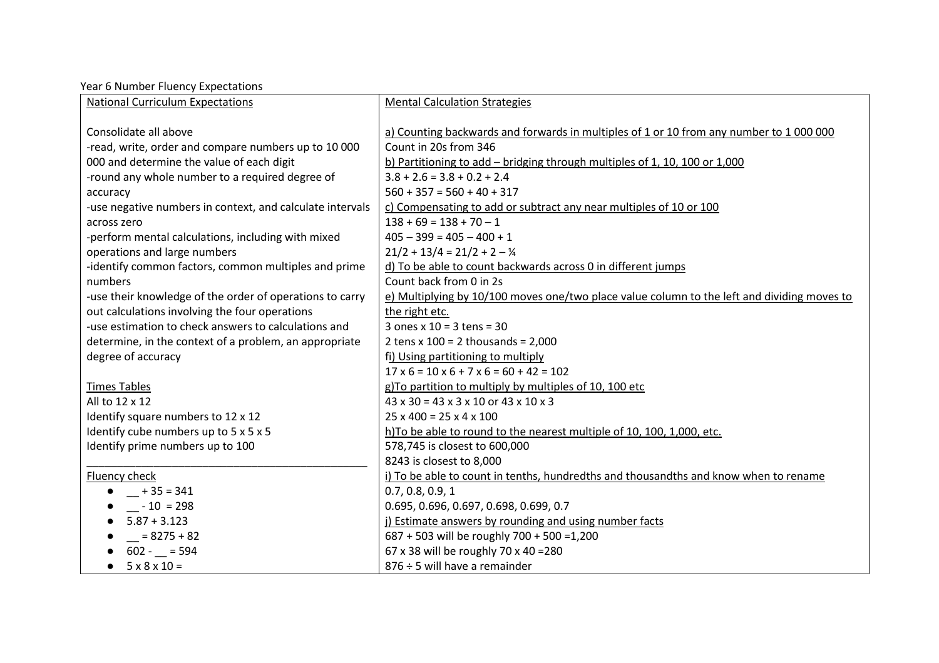Year 6 Number Fluency Expectations

| <b>National Curriculum Expectations</b>                   | <b>Mental Calculation Strategies</b>                                                        |
|-----------------------------------------------------------|---------------------------------------------------------------------------------------------|
|                                                           |                                                                                             |
| Consolidate all above                                     | a) Counting backwards and forwards in multiples of 1 or 10 from any number to 1 000 000     |
| -read, write, order and compare numbers up to 10 000      | Count in 20s from 346                                                                       |
| 000 and determine the value of each digit                 | b) Partitioning to add – bridging through multiples of 1, 10, 100 or 1,000                  |
| -round any whole number to a required degree of           | $3.8 + 2.6 = 3.8 + 0.2 + 2.4$                                                               |
| accuracy                                                  | $560 + 357 = 560 + 40 + 317$                                                                |
| -use negative numbers in context, and calculate intervals | c) Compensating to add or subtract any near multiples of 10 or 100                          |
| across zero                                               | $138 + 69 = 138 + 70 - 1$                                                                   |
| -perform mental calculations, including with mixed        | $405 - 399 = 405 - 400 + 1$                                                                 |
| operations and large numbers                              | $21/2 + 13/4 = 21/2 + 2 - \frac{1}{4}$                                                      |
| -identify common factors, common multiples and prime      | d) To be able to count backwards across 0 in different jumps                                |
| numbers                                                   | Count back from 0 in 2s                                                                     |
| -use their knowledge of the order of operations to carry  | e) Multiplying by 10/100 moves one/two place value column to the left and dividing moves to |
| out calculations involving the four operations            | the right etc.                                                                              |
| -use estimation to check answers to calculations and      | 3 ones $x 10 = 3$ tens = 30                                                                 |
| determine, in the context of a problem, an appropriate    | 2 tens x $100 = 2$ thousands = 2,000                                                        |
| degree of accuracy                                        | fi) Using partitioning to multiply                                                          |
|                                                           | $17 \times 6 = 10 \times 6 + 7 \times 6 = 60 + 42 = 102$                                    |
| <b>Times Tables</b>                                       | g) To partition to multiply by multiples of 10, 100 etc                                     |
| All to 12 x 12                                            | $43 \times 30 = 43 \times 3 \times 10$ or $43 \times 10 \times 3$                           |
| Identify square numbers to 12 x 12                        | $25 \times 400 = 25 \times 4 \times 100$                                                    |
| Identify cube numbers up to 5 x 5 x 5                     | h)To be able to round to the nearest multiple of 10, 100, 1,000, etc.                       |
| Identify prime numbers up to 100                          | 578,745 is closest to 600,000                                                               |
|                                                           | 8243 is closest to 8,000                                                                    |
| <b>Fluency check</b>                                      | i) To be able to count in tenths, hundredths and thousandths and know when to rename        |
| $-$ + 35 = 341                                            | 0.7, 0.8, 0.9, 1                                                                            |
| $-10 = 298$                                               | 0.695, 0.696, 0.697, 0.698, 0.699, 0.7                                                      |
| $5.87 + 3.123$                                            | j) Estimate answers by rounding and using number facts                                      |
| $= 8275 + 82$                                             | 687 + 503 will be roughly 700 + 500 = 1,200                                                 |
| $602 - 594$                                               | 67 x 38 will be roughly 70 x 40 = 280                                                       |
| $5 \times 8 \times 10 =$<br>$\bullet$                     | 876 ÷ 5 will have a remainder                                                               |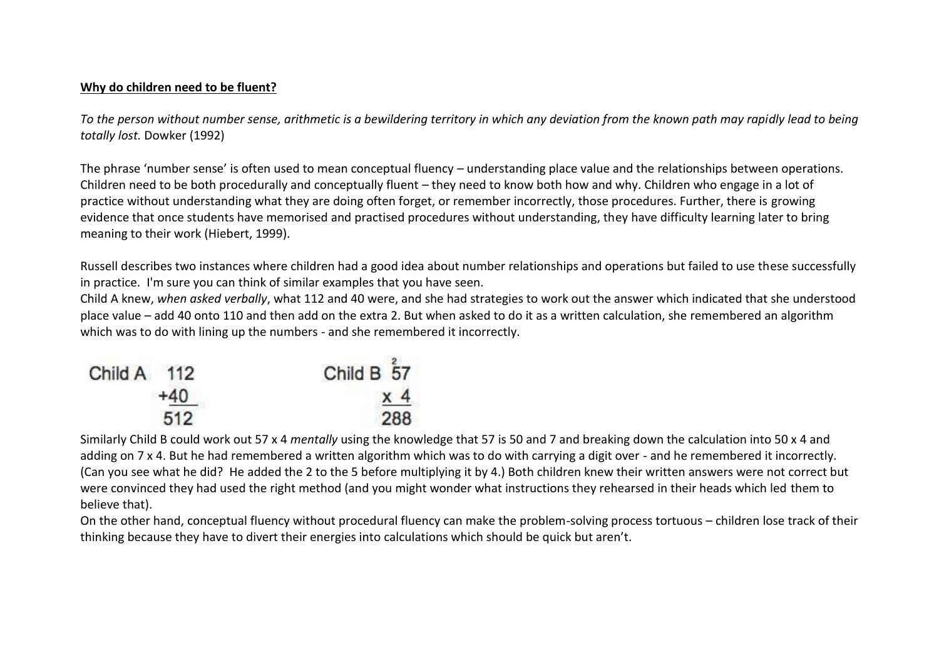#### **Why do children need to be fluent?**

*To the person without number sense, arithmetic is a bewildering territory in which any deviation from the known path may rapidly lead to being totally lost.* Dowker (1992)

The phrase 'number sense' is often used to mean conceptual fluency – understanding place value and the relationships between operations. Children need to be both procedurally and conceptually fluent – they need to know both how and why. Children who engage in a lot of practice without understanding what they are doing often forget, or remember incorrectly, those procedures. Further, there is growing evidence that once students have memorised and practised procedures without understanding, they have difficulty learning later to bring meaning to their work (Hiebert, 1999).

Russell describes two instances where children had a good idea about number relationships and operations but failed to use these successfully in practice. I'm sure you can think of similar examples that you have seen.

Child A knew, *when asked verbally*, what 112 and 40 were, and she had strategies to work out the answer which indicated that she understood place value – add 40 onto 110 and then add on the extra 2. But when asked to do it as a written calculation, she remembered an algorithm which was to do with lining up the numbers - and she remembered it incorrectly.

| Child A 112 | Child $\overline{B}$ 57 |
|-------------|-------------------------|
| $+40$       | x <sub>4</sub>          |
| 512         | 288                     |

Similarly Child B could work out 57 x 4 *mentally* using the knowledge that 57 is 50 and 7 and breaking down the calculation into 50 x 4 and adding on 7 x 4. But he had remembered a written algorithm which was to do with carrying a digit over - and he remembered it incorrectly. (Can you see what he did? He added the 2 to the 5 before multiplying it by 4.) Both children knew their written answers were not correct but were convinced they had used the right method (and you might wonder what instructions they rehearsed in their heads which led them to believe that).

On the other hand, conceptual fluency without procedural fluency can make the problem-solving process tortuous – children lose track of their thinking because they have to divert their energies into calculations which should be quick but aren't.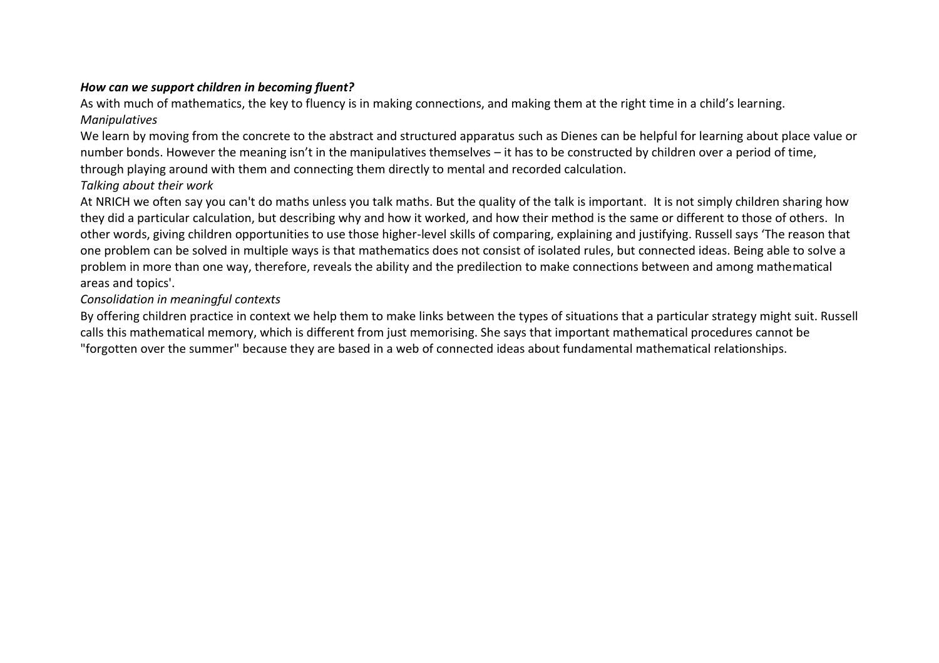## *How can we support children in becoming fluent?*

As with much of mathematics, the key to fluency is in making connections, and making them at the right time in a child's learning. *Manipulatives*

We learn by moving from the concrete to the abstract and structured apparatus such as Dienes can be helpful for learning about place value or number bonds. However the meaning isn't in the manipulatives themselves – it has to be constructed by children over a period of time, through playing around with them and connecting them directly to mental and recorded calculation.

# *Talking about their work*

At NRICH we often say you can't do maths unless you talk maths. But the quality of the talk is important. It is not simply children sharing how they did a particular calculation, but describing why and how it worked, and how their method is the same or different to those of others. In other words, giving children opportunities to use those higher-level skills of comparing, explaining and justifying. Russell says 'The reason that one problem can be solved in multiple ways is that mathematics does not consist of isolated rules, but connected ideas. Being able to solve a problem in more than one way, therefore, reveals the ability and the predilection to make connections between and among mathematical areas and topics'.

# *Consolidation in meaningful contexts*

By offering children practice in context we help them to make links between the types of situations that a particular strategy might suit. Russell calls this mathematical memory, which is different from just memorising. She says that important mathematical procedures cannot be "forgotten over the summer" because they are based in a web of connected ideas about fundamental mathematical relationships.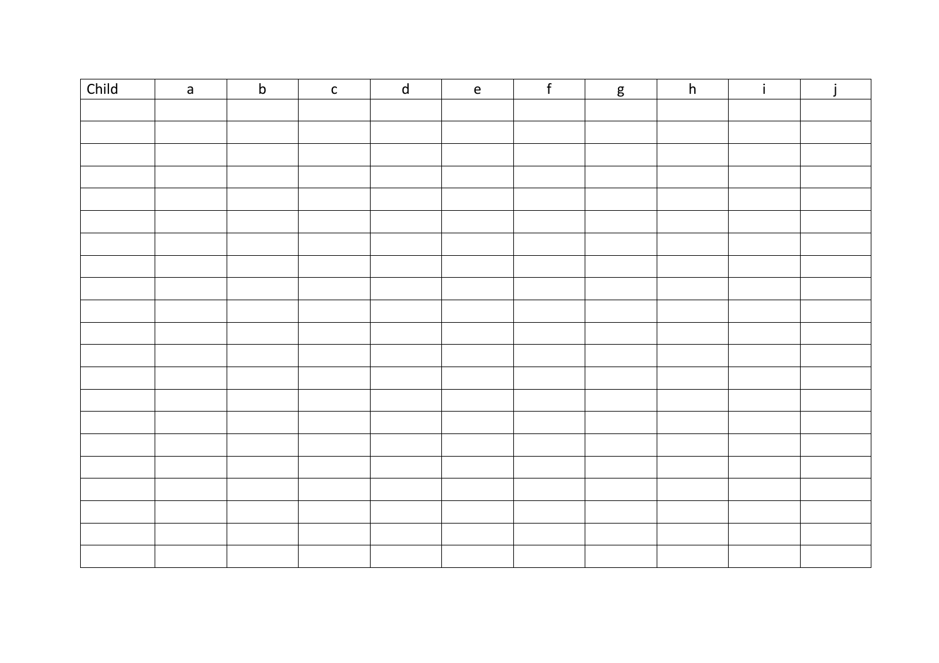| Child | $\mathsf{a}$ | $\mathsf b$ | $\mathsf{C}$ | $\sf d$ | $\mathsf{e}% _{t}\left( t\right)$ | $\mathsf f$ | $g_{\parallel}$ | h | $\mathbf{i}$ |  |
|-------|--------------|-------------|--------------|---------|-----------------------------------|-------------|-----------------|---|--------------|--|
|       |              |             |              |         |                                   |             |                 |   |              |  |
|       |              |             |              |         |                                   |             |                 |   |              |  |
|       |              |             |              |         |                                   |             |                 |   |              |  |
|       |              |             |              |         |                                   |             |                 |   |              |  |
|       |              |             |              |         |                                   |             |                 |   |              |  |
|       |              |             |              |         |                                   |             |                 |   |              |  |
|       |              |             |              |         |                                   |             |                 |   |              |  |
|       |              |             |              |         |                                   |             |                 |   |              |  |
|       |              |             |              |         |                                   |             |                 |   |              |  |
|       |              |             |              |         |                                   |             |                 |   |              |  |
|       |              |             |              |         |                                   |             |                 |   |              |  |
|       |              |             |              |         |                                   |             |                 |   |              |  |
|       |              |             |              |         |                                   |             |                 |   |              |  |
|       |              |             |              |         |                                   |             |                 |   |              |  |
|       |              |             |              |         |                                   |             |                 |   |              |  |
|       |              |             |              |         |                                   |             |                 |   |              |  |
|       |              |             |              |         |                                   |             |                 |   |              |  |
|       |              |             |              |         |                                   |             |                 |   |              |  |
|       |              |             |              |         |                                   |             |                 |   |              |  |
|       |              |             |              |         |                                   |             |                 |   |              |  |
|       |              |             |              |         |                                   |             |                 |   |              |  |
|       |              |             |              |         |                                   |             |                 |   |              |  |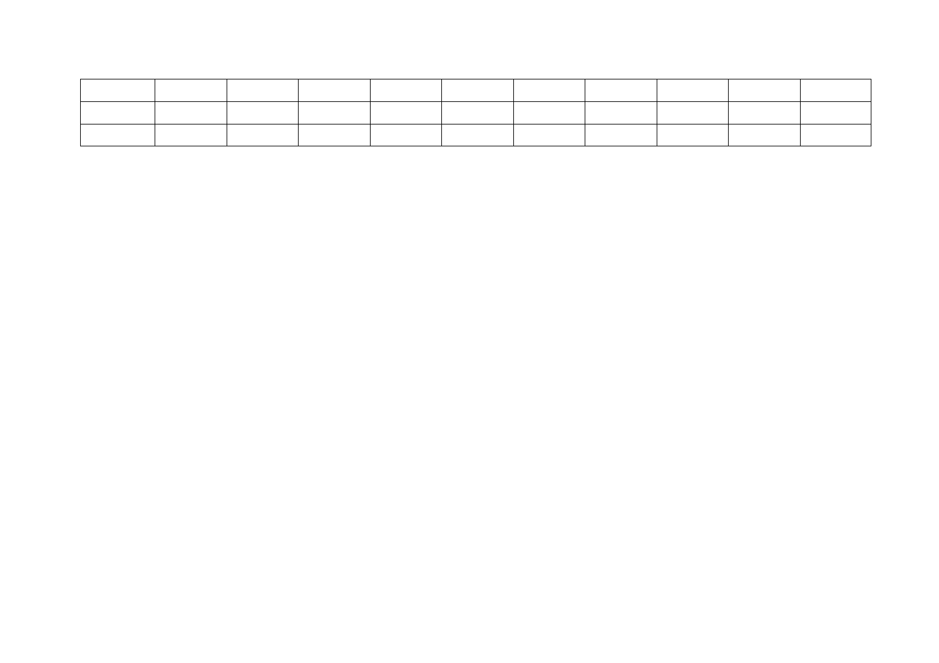|  |  | the contract of the contract of the contract of the contract of the contract of the contract of the contract of |  |  |  |
|--|--|-----------------------------------------------------------------------------------------------------------------|--|--|--|
|  |  |                                                                                                                 |  |  |  |